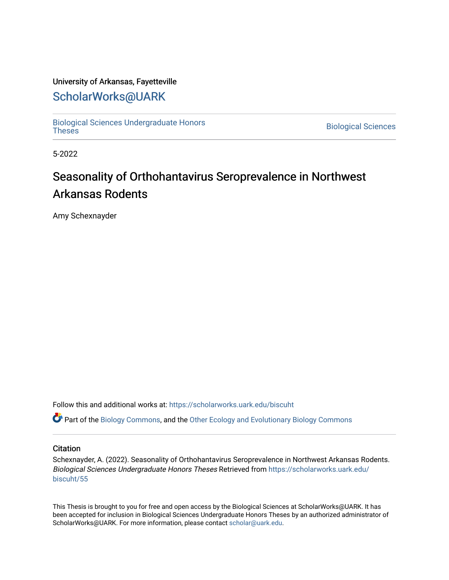### University of Arkansas, Fayetteville

# [ScholarWorks@UARK](https://scholarworks.uark.edu/)

[Biological Sciences Undergraduate Honors](https://scholarworks.uark.edu/biscuht)

**Biological Sciences** 

5-2022

# Seasonality of Orthohantavirus Seroprevalence in Northwest Arkansas Rodents

Amy Schexnayder

Follow this and additional works at: [https://scholarworks.uark.edu/biscuht](https://scholarworks.uark.edu/biscuht?utm_source=scholarworks.uark.edu%2Fbiscuht%2F55&utm_medium=PDF&utm_campaign=PDFCoverPages) 

Part of the [Biology Commons,](http://network.bepress.com/hgg/discipline/41?utm_source=scholarworks.uark.edu%2Fbiscuht%2F55&utm_medium=PDF&utm_campaign=PDFCoverPages) and the [Other Ecology and Evolutionary Biology Commons](http://network.bepress.com/hgg/discipline/21?utm_source=scholarworks.uark.edu%2Fbiscuht%2F55&utm_medium=PDF&utm_campaign=PDFCoverPages)

#### **Citation**

Schexnayder, A. (2022). Seasonality of Orthohantavirus Seroprevalence in Northwest Arkansas Rodents. Biological Sciences Undergraduate Honors Theses Retrieved from [https://scholarworks.uark.edu/](https://scholarworks.uark.edu/biscuht/55?utm_source=scholarworks.uark.edu%2Fbiscuht%2F55&utm_medium=PDF&utm_campaign=PDFCoverPages) [biscuht/55](https://scholarworks.uark.edu/biscuht/55?utm_source=scholarworks.uark.edu%2Fbiscuht%2F55&utm_medium=PDF&utm_campaign=PDFCoverPages)

This Thesis is brought to you for free and open access by the Biological Sciences at ScholarWorks@UARK. It has been accepted for inclusion in Biological Sciences Undergraduate Honors Theses by an authorized administrator of ScholarWorks@UARK. For more information, please contact [scholar@uark.edu](mailto:scholar@uark.edu).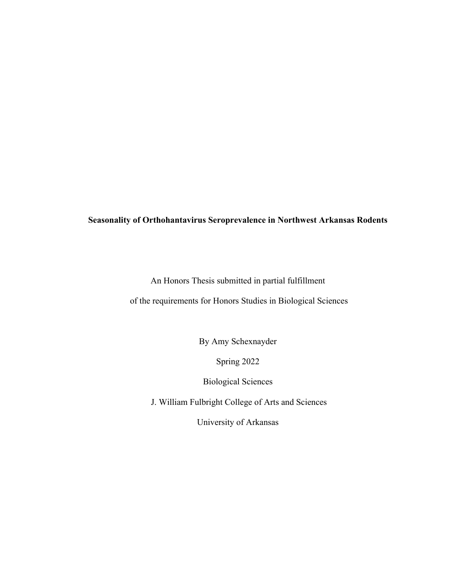## **Seasonality of Orthohantavirus Seroprevalence in Northwest Arkansas Rodents**

An Honors Thesis submitted in partial fulfillment

of the requirements for Honors Studies in Biological Sciences

By Amy Schexnayder

Spring 2022

Biological Sciences

J. William Fulbright College of Arts and Sciences

University of Arkansas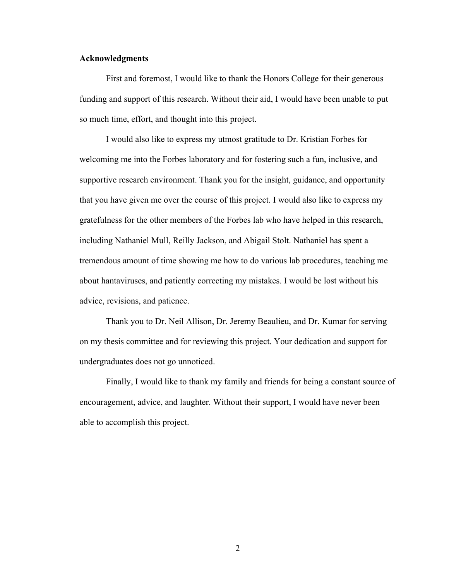#### **Acknowledgments**

First and foremost, I would like to thank the Honors College for their generous funding and support of this research. Without their aid, I would have been unable to put so much time, effort, and thought into this project.

I would also like to express my utmost gratitude to Dr. Kristian Forbes for welcoming me into the Forbes laboratory and for fostering such a fun, inclusive, and supportive research environment. Thank you for the insight, guidance, and opportunity that you have given me over the course of this project. I would also like to express my gratefulness for the other members of the Forbes lab who have helped in this research, including Nathaniel Mull, Reilly Jackson, and Abigail Stolt. Nathaniel has spent a tremendous amount of time showing me how to do various lab procedures, teaching me about hantaviruses, and patiently correcting my mistakes. I would be lost without his advice, revisions, and patience.

Thank you to Dr. Neil Allison, Dr. Jeremy Beaulieu, and Dr. Kumar for serving on my thesis committee and for reviewing this project. Your dedication and support for undergraduates does not go unnoticed.

Finally, I would like to thank my family and friends for being a constant source of encouragement, advice, and laughter. Without their support, I would have never been able to accomplish this project.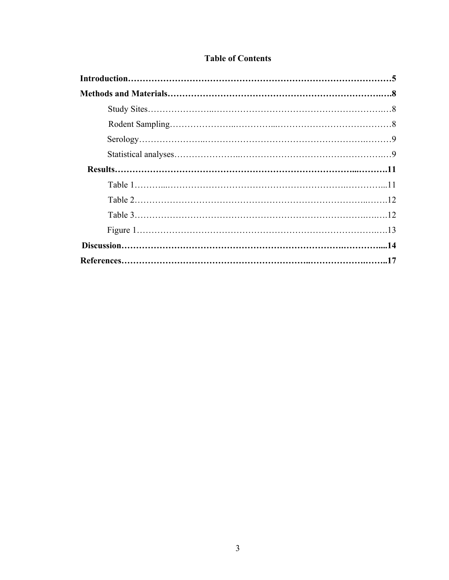|  |  | <b>Table of Contents</b> |
|--|--|--------------------------|
|--|--|--------------------------|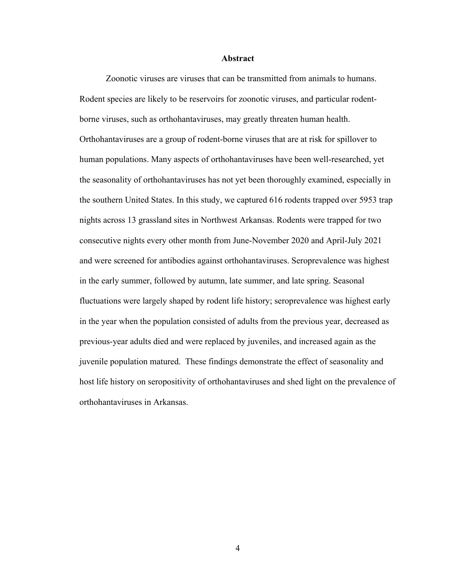#### **Abstract**

Zoonotic viruses are viruses that can be transmitted from animals to humans. Rodent species are likely to be reservoirs for zoonotic viruses, and particular rodentborne viruses, such as orthohantaviruses, may greatly threaten human health. Orthohantaviruses are a group of rodent-borne viruses that are at risk for spillover to human populations. Many aspects of orthohantaviruses have been well-researched, yet the seasonality of orthohantaviruses has not yet been thoroughly examined, especially in the southern United States. In this study, we captured 616 rodents trapped over 5953 trap nights across 13 grassland sites in Northwest Arkansas. Rodents were trapped for two consecutive nights every other month from June-November 2020 and April-July 2021 and were screened for antibodies against orthohantaviruses. Seroprevalence was highest in the early summer, followed by autumn, late summer, and late spring. Seasonal fluctuations were largely shaped by rodent life history; seroprevalence was highest early in the year when the population consisted of adults from the previous year, decreased as previous-year adults died and were replaced by juveniles, and increased again as the juvenile population matured. These findings demonstrate the effect of seasonality and host life history on seropositivity of orthohantaviruses and shed light on the prevalence of orthohantaviruses in Arkansas.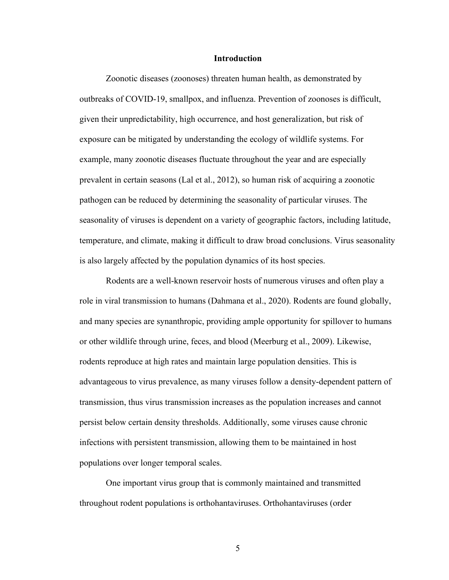#### **Introduction**

Zoonotic diseases (zoonoses) threaten human health, as demonstrated by outbreaks of COVID-19, smallpox, and influenza. Prevention of zoonoses is difficult, given their unpredictability, high occurrence, and host generalization, but risk of exposure can be mitigated by understanding the ecology of wildlife systems. For example, many zoonotic diseases fluctuate throughout the year and are especially prevalent in certain seasons (Lal et al., 2012), so human risk of acquiring a zoonotic pathogen can be reduced by determining the seasonality of particular viruses. The seasonality of viruses is dependent on a variety of geographic factors, including latitude, temperature, and climate, making it difficult to draw broad conclusions. Virus seasonality is also largely affected by the population dynamics of its host species.

Rodents are a well-known reservoir hosts of numerous viruses and often play a role in viral transmission to humans (Dahmana et al., 2020). Rodents are found globally, and many species are synanthropic, providing ample opportunity for spillover to humans or other wildlife through urine, feces, and blood (Meerburg et al., 2009). Likewise, rodents reproduce at high rates and maintain large population densities. This is advantageous to virus prevalence, as many viruses follow a density-dependent pattern of transmission, thus virus transmission increases as the population increases and cannot persist below certain density thresholds. Additionally, some viruses cause chronic infections with persistent transmission, allowing them to be maintained in host populations over longer temporal scales.

One important virus group that is commonly maintained and transmitted throughout rodent populations is orthohantaviruses. Orthohantaviruses (order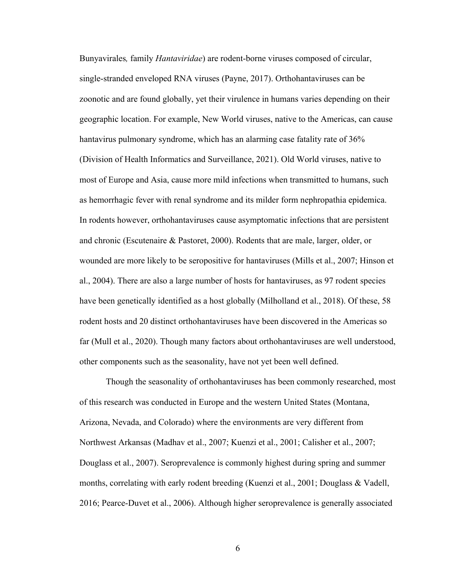Bunyavirales*,* family *Hantaviridae*) are rodent-borne viruses composed of circular, single-stranded enveloped RNA viruses (Payne, 2017). Orthohantaviruses can be zoonotic and are found globally, yet their virulence in humans varies depending on their geographic location. For example, New World viruses, native to the Americas, can cause hantavirus pulmonary syndrome, which has an alarming case fatality rate of 36% (Division of Health Informatics and Surveillance, 2021). Old World viruses, native to most of Europe and Asia, cause more mild infections when transmitted to humans, such as hemorrhagic fever with renal syndrome and its milder form nephropathia epidemica. In rodents however, orthohantaviruses cause asymptomatic infections that are persistent and chronic (Escutenaire & Pastoret, 2000). Rodents that are male, larger, older, or wounded are more likely to be seropositive for hantaviruses (Mills et al., 2007; Hinson et al., 2004). There are also a large number of hosts for hantaviruses, as 97 rodent species have been genetically identified as a host globally (Milholland et al., 2018). Of these, 58 rodent hosts and 20 distinct orthohantaviruses have been discovered in the Americas so far (Mull et al., 2020). Though many factors about orthohantaviruses are well understood, other components such as the seasonality, have not yet been well defined.

Though the seasonality of orthohantaviruses has been commonly researched, most of this research was conducted in Europe and the western United States (Montana, Arizona, Nevada, and Colorado) where the environments are very different from Northwest Arkansas (Madhav et al., 2007; Kuenzi et al., 2001; Calisher et al., 2007; Douglass et al., 2007). Seroprevalence is commonly highest during spring and summer months, correlating with early rodent breeding (Kuenzi et al., 2001; Douglass & Vadell, 2016; Pearce-Duvet et al., 2006). Although higher seroprevalence is generally associated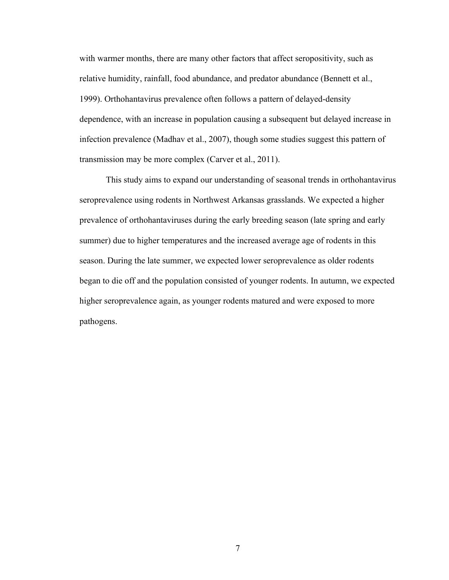with warmer months, there are many other factors that affect seropositivity, such as relative humidity, rainfall, food abundance, and predator abundance (Bennett et al., 1999). Orthohantavirus prevalence often follows a pattern of delayed-density dependence, with an increase in population causing a subsequent but delayed increase in infection prevalence (Madhav et al., 2007), though some studies suggest this pattern of transmission may be more complex (Carver et al., 2011).

This study aims to expand our understanding of seasonal trends in orthohantavirus seroprevalence using rodents in Northwest Arkansas grasslands. We expected a higher prevalence of orthohantaviruses during the early breeding season (late spring and early summer) due to higher temperatures and the increased average age of rodents in this season. During the late summer, we expected lower seroprevalence as older rodents began to die off and the population consisted of younger rodents. In autumn, we expected higher seroprevalence again, as younger rodents matured and were exposed to more pathogens.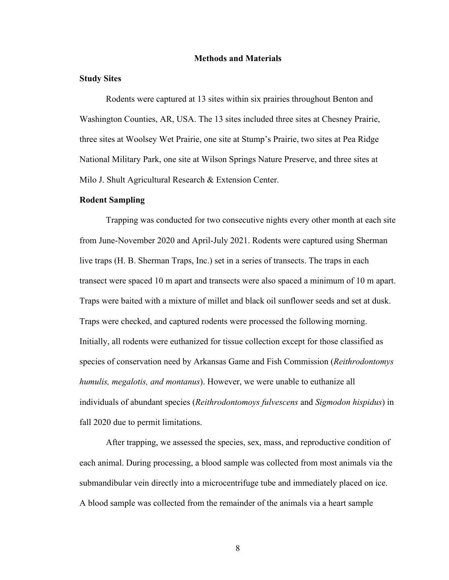#### **Methods and Materials**

#### **Study Sites**

Rodents were captured at 13 sites within six prairies throughout Benton and Washington Counties, AR, USA. The 13 sites included three sites at Chesney Prairie, three sites at Woolsey Wet Prairie, one site at Stump's Prairie, two sites at Pea Ridge National Military Park, one site at Wilson Springs Nature Preserve, and three sites at Milo J. Shult Agricultural Research & Extension Center.

#### **Rodent Sampling**

Trapping was conducted for two consecutive nights every other month at each site from June-November 2020 and April-July 2021. Rodents were captured using Sherman live traps (H. B. Sherman Traps, Inc.) set in a series of transects. The traps in each transect were spaced 10 m apart and transects were also spaced a minimum of 10 m apart. Traps were baited with a mixture of millet and black oil sunflower seeds and set at dusk. Traps were checked, and captured rodents were processed the following morning. Initially, all rodents were euthanized for tissue collection except for those classified as species of conservation need by Arkansas Game and Fish Commission (*Reithrodontomys humulis, megalotis, and montanus*). However, we were unable to euthanize all individuals of abundant species (*Reithrodontomoys fulvescens* and *Sigmodon hispidus*) in fall 2020 due to permit limitations.

After trapping, we assessed the species, sex, mass, and reproductive condition of each animal. During processing, a blood sample was collected from most animals via the submandibular vein directly into a microcentrifuge tube and immediately placed on ice. A blood sample was collected from the remainder of the animals via a heart sample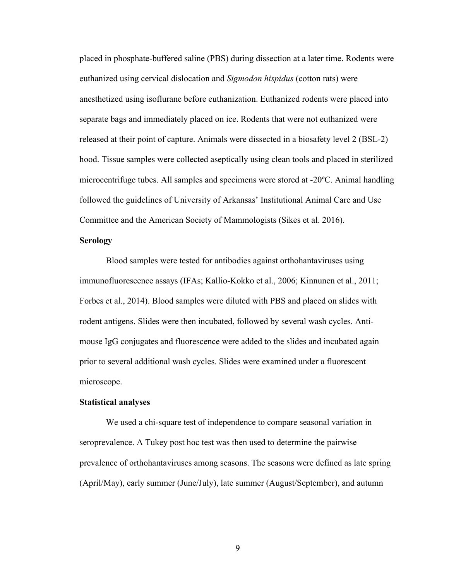placed in phosphate-buffered saline (PBS) during dissection at a later time. Rodents were euthanized using cervical dislocation and *Sigmodon hispidus* (cotton rats) were anesthetized using isoflurane before euthanization. Euthanized rodents were placed into separate bags and immediately placed on ice. Rodents that were not euthanized were released at their point of capture. Animals were dissected in a biosafety level 2 (BSL-2) hood. Tissue samples were collected aseptically using clean tools and placed in sterilized microcentrifuge tubes. All samples and specimens were stored at -20ºC. Animal handling followed the guidelines of University of Arkansas' Institutional Animal Care and Use Committee and the American Society of Mammologists (Sikes et al. 2016).

#### **Serology**

Blood samples were tested for antibodies against orthohantaviruses using immunofluorescence assays (IFAs; Kallio-Kokko et al., 2006; Kinnunen et al., 2011; Forbes et al., 2014). Blood samples were diluted with PBS and placed on slides with rodent antigens. Slides were then incubated, followed by several wash cycles. Antimouse IgG conjugates and fluorescence were added to the slides and incubated again prior to several additional wash cycles. Slides were examined under a fluorescent microscope.

#### **Statistical analyses**

We used a chi-square test of independence to compare seasonal variation in seroprevalence. A Tukey post hoc test was then used to determine the pairwise prevalence of orthohantaviruses among seasons. The seasons were defined as late spring (April/May), early summer (June/July), late summer (August/September), and autumn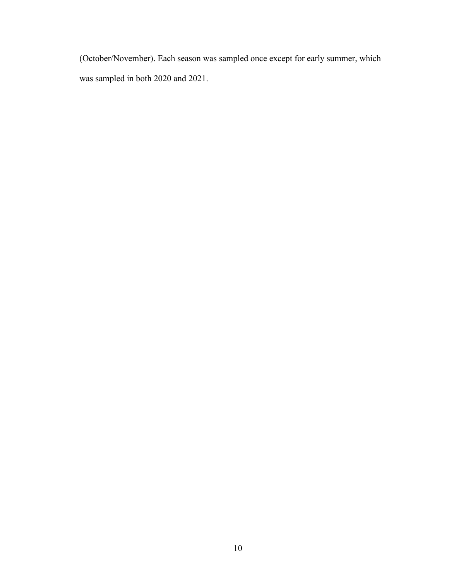(October/November). Each season was sampled once except for early summer, which was sampled in both 2020 and 2021.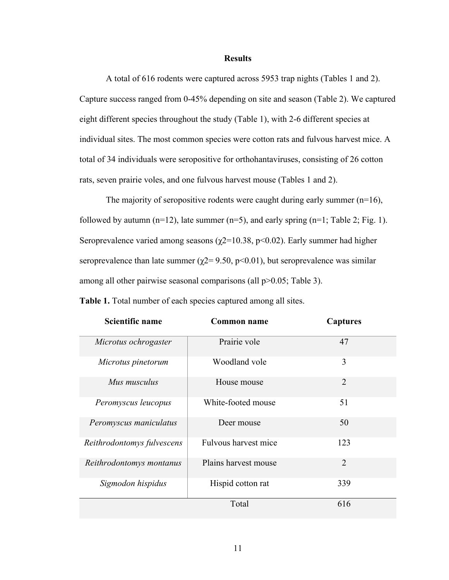#### **Results**

A total of 616 rodents were captured across 5953 trap nights (Tables 1 and 2). Capture success ranged from 0-45% depending on site and season (Table 2). We captured eight different species throughout the study (Table 1), with 2-6 different species at individual sites. The most common species were cotton rats and fulvous harvest mice. A total of 34 individuals were seropositive for orthohantaviruses, consisting of 26 cotton rats, seven prairie voles, and one fulvous harvest mouse (Tables 1 and 2).

The majority of seropositive rodents were caught during early summer  $(n=16)$ , followed by autumn  $(n=12)$ , late summer  $(n=5)$ , and early spring  $(n=1;$  Table 2; Fig. 1). Seroprevalence varied among seasons ( $\chi$ 2=10.38, p<0.02). Early summer had higher seroprevalence than late summer ( $\chi$ 2= 9.50, p<0.01), but seroprevalence was similar among all other pairwise seasonal comparisons (all  $p>0.05$ ; Table 3).

| <b>Scientific name</b>     | Common name          | <b>Captures</b> |
|----------------------------|----------------------|-----------------|
| Microtus ochrogaster       | Prairie vole         | 47              |
| Microtus pinetorum         | Woodland vole        | 3               |
| Mus musculus               | House mouse          | $\overline{2}$  |
| Peromyscus leucopus        | White-footed mouse   | 51              |
| Peromyscus maniculatus     | Deer mouse           | 50              |
| Reithrodontomys fulvescens | Fulvous harvest mice | 123             |
| Reithrodontomys montanus   | Plains harvest mouse | $\overline{2}$  |
| Sigmodon hispidus          | Hispid cotton rat    | 339             |
|                            | Total                | 616             |

**Table 1.** Total number of each species captured among all sites.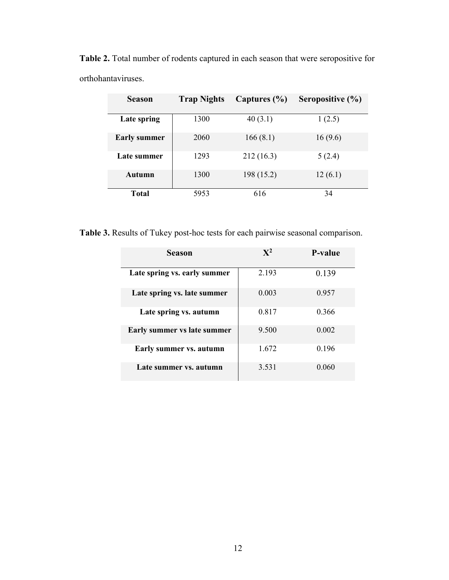| <b>Season</b>       | <b>Trap Nights</b> | Captures $(\% )$ | Seropositive (%) |
|---------------------|--------------------|------------------|------------------|
| Late spring         | 1300               | 40(3.1)          | 1(2.5)           |
| <b>Early summer</b> | 2060               | 166(8.1)         | 16(9.6)          |
| Late summer         | 1293               | 212(16.3)        | 5(2.4)           |
| <b>Autumn</b>       | 1300               | 198 (15.2)       | 12(6.1)          |
| Total               | 5953               | 616              | 34               |

**Table 2.** Total number of rodents captured in each season that were seropositive for orthohantaviruses.

**Table 3.** Results of Tukey post-hoc tests for each pairwise seasonal comparison.

| <b>Season</b>                | $\mathbf{X}^2$ | <b>P-value</b> |
|------------------------------|----------------|----------------|
| Late spring vs. early summer | 2.193          | 0.139          |
| Late spring vs. late summer  | 0.003          | 0.957          |
| Late spring vs. autumn       | 0.817          | 0.366          |
| Early summer vs late summer  | 9.500          | 0.002          |
| Early summer vs. autumn      | 1.672          | 0.196          |
| Late summer vs. autumn       | 3.531          | 0.060          |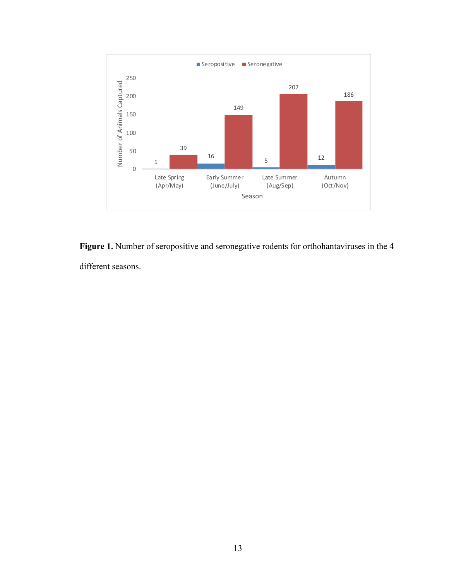

Figure 1. Number of seropositive and seronegative rodents for orthohantaviruses in the 4 different seasons.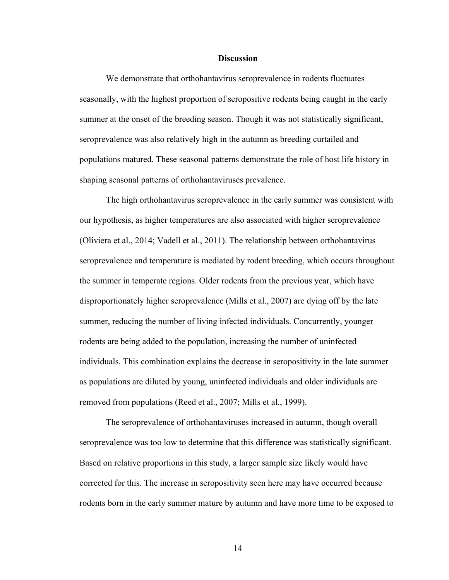#### **Discussion**

We demonstrate that orthohantavirus seroprevalence in rodents fluctuates seasonally, with the highest proportion of seropositive rodents being caught in the early summer at the onset of the breeding season. Though it was not statistically significant, seroprevalence was also relatively high in the autumn as breeding curtailed and populations matured. These seasonal patterns demonstrate the role of host life history in shaping seasonal patterns of orthohantaviruses prevalence.

The high orthohantavirus seroprevalence in the early summer was consistent with our hypothesis, as higher temperatures are also associated with higher seroprevalence (Oliviera et al., 2014; Vadell et al., 2011). The relationship between orthohantavirus seroprevalence and temperature is mediated by rodent breeding, which occurs throughout the summer in temperate regions. Older rodents from the previous year, which have disproportionately higher seroprevalence (Mills et al., 2007) are dying off by the late summer, reducing the number of living infected individuals. Concurrently, younger rodents are being added to the population, increasing the number of uninfected individuals. This combination explains the decrease in seropositivity in the late summer as populations are diluted by young, uninfected individuals and older individuals are removed from populations (Reed et al., 2007; Mills et al., 1999).

The seroprevalence of orthohantaviruses increased in autumn, though overall seroprevalence was too low to determine that this difference was statistically significant. Based on relative proportions in this study, a larger sample size likely would have corrected for this. The increase in seropositivity seen here may have occurred because rodents born in the early summer mature by autumn and have more time to be exposed to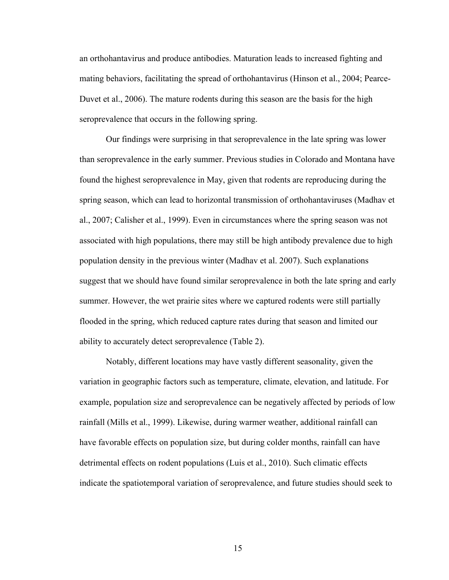an orthohantavirus and produce antibodies. Maturation leads to increased fighting and mating behaviors, facilitating the spread of orthohantavirus (Hinson et al., 2004; Pearce-Duvet et al., 2006). The mature rodents during this season are the basis for the high seroprevalence that occurs in the following spring.

Our findings were surprising in that seroprevalence in the late spring was lower than seroprevalence in the early summer. Previous studies in Colorado and Montana have found the highest seroprevalence in May, given that rodents are reproducing during the spring season, which can lead to horizontal transmission of orthohantaviruses (Madhav et al., 2007; Calisher et al., 1999). Even in circumstances where the spring season was not associated with high populations, there may still be high antibody prevalence due to high population density in the previous winter (Madhav et al. 2007). Such explanations suggest that we should have found similar seroprevalence in both the late spring and early summer. However, the wet prairie sites where we captured rodents were still partially flooded in the spring, which reduced capture rates during that season and limited our ability to accurately detect seroprevalence (Table 2).

Notably, different locations may have vastly different seasonality, given the variation in geographic factors such as temperature, climate, elevation, and latitude. For example, population size and seroprevalence can be negatively affected by periods of low rainfall (Mills et al., 1999). Likewise, during warmer weather, additional rainfall can have favorable effects on population size, but during colder months, rainfall can have detrimental effects on rodent populations (Luis et al., 2010). Such climatic effects indicate the spatiotemporal variation of seroprevalence, and future studies should seek to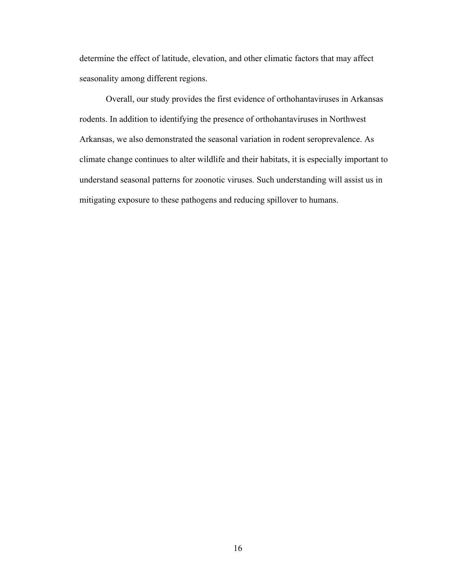determine the effect of latitude, elevation, and other climatic factors that may affect seasonality among different regions.

Overall, our study provides the first evidence of orthohantaviruses in Arkansas rodents. In addition to identifying the presence of orthohantaviruses in Northwest Arkansas, we also demonstrated the seasonal variation in rodent seroprevalence. As climate change continues to alter wildlife and their habitats, it is especially important to understand seasonal patterns for zoonotic viruses. Such understanding will assist us in mitigating exposure to these pathogens and reducing spillover to humans.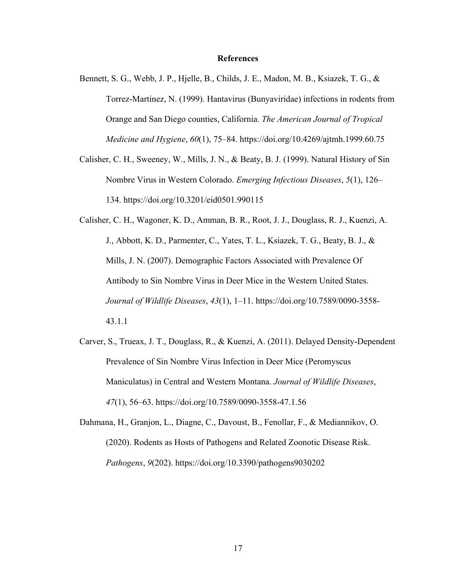#### **References**

- Bennett, S. G., Webb, J. P., Hjelle, B., Childs, J. E., Madon, M. B., Ksiazek, T. G., & Torrez-Martinez, N. (1999). Hantavirus (Bunyaviridae) infections in rodents from Orange and San Diego counties, California. *The American Journal of Tropical Medicine and Hygiene*, *60*(1), 75–84. https://doi.org/10.4269/ajtmh.1999.60.75
- Calisher, C. H., Sweeney, W., Mills, J. N., & Beaty, B. J. (1999). Natural History of Sin Nombre Virus in Western Colorado. *Emerging Infectious Diseases*, *5*(1), 126– 134. https://doi.org/10.3201/eid0501.990115

Calisher, C. H., Wagoner, K. D., Amman, B. R., Root, J. J., Douglass, R. J., Kuenzi, A. J., Abbott, K. D., Parmenter, C., Yates, T. L., Ksiazek, T. G., Beaty, B. J., & Mills, J. N. (2007). Demographic Factors Associated with Prevalence Of Antibody to Sin Nombre Virus in Deer Mice in the Western United States. *Journal of Wildlife Diseases*, *43*(1), 1–11. https://doi.org/10.7589/0090-3558- 43.1.1

Carver, S., Trueax, J. T., Douglass, R., & Kuenzi, A. (2011). Delayed Density-Dependent Prevalence of Sin Nombre Virus Infection in Deer Mice (Peromyscus Maniculatus) in Central and Western Montana. *Journal of Wildlife Diseases*, *47*(1), 56–63. https://doi.org/10.7589/0090-3558-47.1.56

Dahmana, H., Granjon, L., Diagne, C., Davoust, B., Fenollar, F., & Mediannikov, O. (2020). Rodents as Hosts of Pathogens and Related Zoonotic Disease Risk. *Pathogens*, *9*(202). https://doi.org/10.3390/pathogens9030202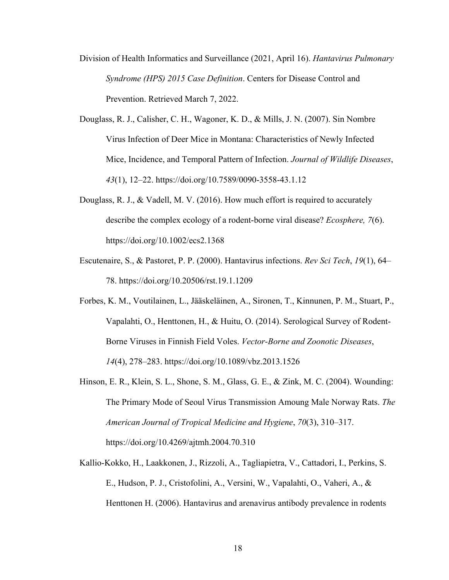- Division of Health Informatics and Surveillance (2021, April 16). *Hantavirus Pulmonary Syndrome (HPS) 2015 Case Definition*. Centers for Disease Control and Prevention. Retrieved March 7, 2022.
- Douglass, R. J., Calisher, C. H., Wagoner, K. D., & Mills, J. N. (2007). Sin Nombre Virus Infection of Deer Mice in Montana: Characteristics of Newly Infected Mice, Incidence, and Temporal Pattern of Infection. *Journal of Wildlife Diseases*, *43*(1), 12–22. https://doi.org/10.7589/0090-3558-43.1.12
- Douglass, R. J., & Vadell, M. V. (2016). How much effort is required to accurately describe the complex ecology of a rodent‐borne viral disease? *Ecosphere, 7*(6). https://doi.org/10.1002/ecs2.1368
- Escutenaire, S., & Pastoret, P. P. (2000). Hantavirus infections. *Rev Sci Tech*, *19*(1), 64– 78. https://doi.org/10.20506/rst.19.1.1209
- Forbes, K. M., Voutilainen, L., Jääskeläinen, A., Sironen, T., Kinnunen, P. M., Stuart, P., Vapalahti, O., Henttonen, H., & Huitu, O. (2014). Serological Survey of Rodent-Borne Viruses in Finnish Field Voles. *Vector-Borne and Zoonotic Diseases*, *14*(4), 278–283. https://doi.org/10.1089/vbz.2013.1526
- Hinson, E. R., Klein, S. L., Shone, S. M., Glass, G. E., & Zink, M. C. (2004). Wounding: The Primary Mode of Seoul Virus Transmission Amoung Male Norway Rats. *The American Journal of Tropical Medicine and Hygiene*, *70*(3), 310–317. https://doi.org/10.4269/ajtmh.2004.70.310
- Kallio-Kokko, H., Laakkonen, J., Rizzoli, A., Tagliapietra, V., Cattadori, I., Perkins, S. E., Hudson, P. J., Cristofolini, A., Versini, W., Vapalahti, O., Vaheri, A., & Henttonen H. (2006). Hantavirus and arenavirus antibody prevalence in rodents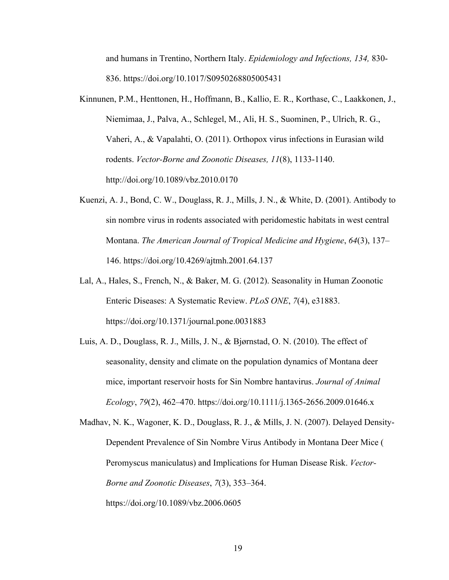and humans in Trentino, Northern Italy. *Epidemiology and Infections, 134,* 830- 836. https://doi.org/10.1017/S0950268805005431

- Kinnunen, P.M., Henttonen, H., Hoffmann, B., Kallio, E. R., Korthase, C., Laakkonen, J., Niemimaa, J., Palva, A., Schlegel, M., Ali, H. S., Suominen, P., Ulrich, R. G., Vaheri, A., & Vapalahti, O. (2011). Orthopox virus infections in Eurasian wild rodents. *Vector-Borne and Zoonotic Diseases, 11*(8), 1133-1140. http://doi.org/10.1089/vbz.2010.0170
- Kuenzi, A. J., Bond, C. W., Douglass, R. J., Mills, J. N., & White, D. (2001). Antibody to sin nombre virus in rodents associated with peridomestic habitats in west central Montana. *The American Journal of Tropical Medicine and Hygiene*, *64*(3), 137– 146. https://doi.org/10.4269/ajtmh.2001.64.137
- Lal, A., Hales, S., French, N., & Baker, M. G. (2012). Seasonality in Human Zoonotic Enteric Diseases: A Systematic Review. *PLoS ONE*, *7*(4), e31883. https://doi.org/10.1371/journal.pone.0031883
- Luis, A. D., Douglass, R. J., Mills, J. N., & Bjørnstad, O. N. (2010). The effect of seasonality, density and climate on the population dynamics of Montana deer mice, important reservoir hosts for Sin Nombre hantavirus. *Journal of Animal Ecology*, *79*(2), 462–470. https://doi.org/10.1111/j.1365-2656.2009.01646.x

Madhav, N. K., Wagoner, K. D., Douglass, R. J., & Mills, J. N. (2007). Delayed Density-Dependent Prevalence of Sin Nombre Virus Antibody in Montana Deer Mice ( Peromyscus maniculatus) and Implications for Human Disease Risk. *Vector-Borne and Zoonotic Diseases*, *7*(3), 353–364. https://doi.org/10.1089/vbz.2006.0605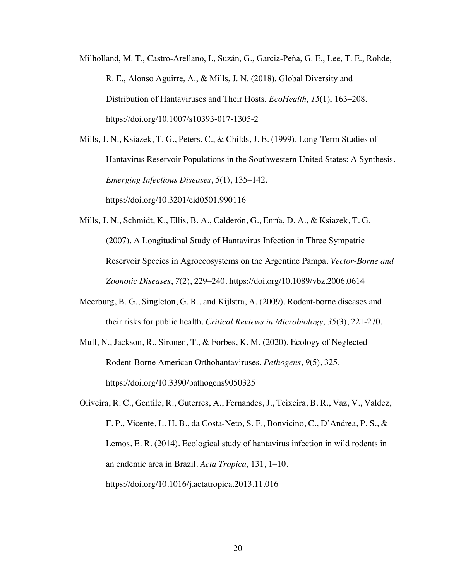- Milholland, M. T., Castro-Arellano, I., Suzán, G., Garcia-Peña, G. E., Lee, T. E., Rohde, R. E., Alonso Aguirre, A., & Mills, J. N. (2018). Global Diversity and Distribution of Hantaviruses and Their Hosts. *EcoHealth*, *15*(1), 163–208. https://doi.org/10.1007/s10393-017-1305-2
- Mills, J. N., Ksiazek, T. G., Peters, C., & Childs, J. E. (1999). Long-Term Studies of Hantavirus Reservoir Populations in the Southwestern United States: A Synthesis. *Emerging Infectious Diseases*, *5*(1), 135–142. https://doi.org/10.3201/eid0501.990116
- Mills, J. N., Schmidt, K., Ellis, B. A., Calderón, G., Enría, D. A., & Ksiazek, T. G. (2007). A Longitudinal Study of Hantavirus Infection in Three Sympatric Reservoir Species in Agroecosystems on the Argentine Pampa. *Vector-Borne and Zoonotic Diseases*, *7*(2), 229–240. https://doi.org/10.1089/vbz.2006.0614
- Meerburg, B. G., Singleton, G. R., and Kijlstra, A. (2009). Rodent-borne diseases and their risks for public health. *Critical Reviews in Microbiology, 35*(3), 221-270.
- Mull, N., Jackson, R., Sironen, T., & Forbes, K. M. (2020). Ecology of Neglected Rodent-Borne American Orthohantaviruses. *Pathogens*, *9*(5), 325. https://doi.org/10.3390/pathogens9050325
- Oliveira, R. C., Gentile, R., Guterres, A., Fernandes, J., Teixeira, B. R., Vaz, V., Valdez, F. P., Vicente, L. H. B., da Costa-Neto, S. F., Bonvicino, C., D'Andrea, P. S., & Lemos, E. R. (2014). Ecological study of hantavirus infection in wild rodents in an endemic area in Brazil. *Acta Tropica*, 131, 1–10. https://doi.org/10.1016/j.actatropica.2013.11.016